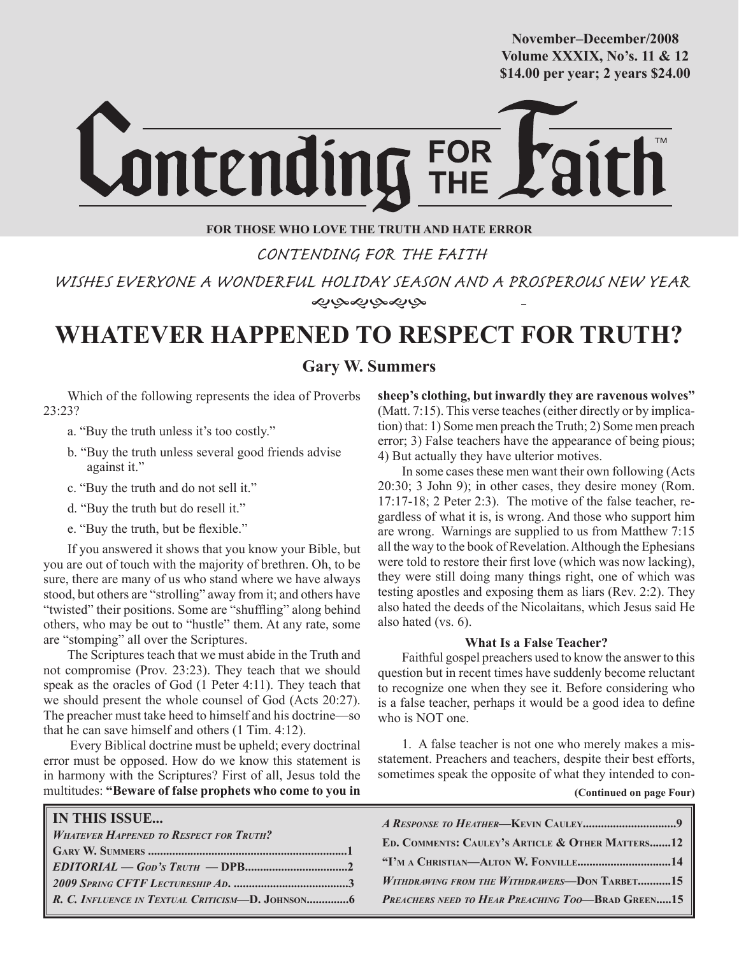**October/2007 Volume XXXIX, No's. 11 & 12 Volume XXXVIII, No. 10 \$14.00 per year; 2 years \$24.00 \$14.00 per year; 2 years \$24.00 November–December/2008**



## **FOR THOSE WHO LOVE THE TRUTH AND HATE ERROR**

CONTENDING FOR THE FAITH

 WISHES EVERYONE A WONDERFUL HOLIDAY SEASON AND A PROSPEROUS NEW YEAR ぞみやみやや

# **WHATEVER HAPPENED TO RESPECT FOR TRUTH?**

# **Gary W. Summers**

Which of the following represents the idea of Proverbs 23:23?

- a. "Buy the truth unless it's too costly."
- b. "Buy the truth unless several good friends advise against it."
- c. "Buy the truth and do not sell it."
- d. "Buy the truth but do resell it."
- e. "Buy the truth, but be flexible."

If you answered it shows that you know your Bible, but you are out of touch with the majority of brethren. Oh, to be sure, there are many of us who stand where we have always stood, but others are "strolling" away from it; and others have "twisted" their positions. Some are "shuffling" along behind others, who may be out to "hustle" them. At any rate, some are "stomping" all over the Scriptures.

The Scriptures teach that we must abide in the Truth and not compromise (Prov. 23:23). They teach that we should speak as the oracles of God (1 Peter 4:11). They teach that we should present the whole counsel of God (Acts 20:27). The preacher must take heed to himself and his doctrine—so that he can save himself and others (1 Tim. 4:12).

 Every Biblical doctrine must be upheld; every doctrinal error must be opposed. How do we know this statement is in harmony with the Scriptures? First of all, Jesus told the multitudes: **"Beware of false prophets who come to you in**  **sheep's clothing, but inwardly they are ravenous wolves"**  (Matt. 7:15). This verse teaches (either directly or by implication) that: 1) Some men preach the Truth; 2) Some men preach error; 3) False teachers have the appearance of being pious; 4) But actually they have ulterior motives.

In some cases these men want their own following (Acts 20:30; 3 John 9); in other cases, they desire money (Rom. 17:17-18; 2 Peter 2:3). The motive of the false teacher, regardless of what it is, is wrong. And those who support him are wrong. Warnings are supplied to us from Matthew 7:15 all the way to the book of Revelation. Although the Ephesians were told to restore their first love (which was now lacking), they were still doing many things right, one of which was testing apostles and exposing them as liars (Rev. 2:2). They also hated the deeds of the Nicolaitans, which Jesus said He also hated (vs. 6).

### **What Is a False Teacher?**

Faithful gospel preachers used to know the answer to this question but in recent times have suddenly become reluctant to recognize one when they see it. Before considering who is a false teacher, perhaps it would be a good idea to define who is NOT one.

1. A false teacher is not one who merely makes a misstatement. Preachers and teachers, despite their best efforts, sometimes speak the opposite of what they intended to con-

| (Continued on page Four) |  |  |  |
|--------------------------|--|--|--|
|--------------------------|--|--|--|

| <b>IN THIS ISSUE</b><br><b>WHATEVER HAPPENED TO RESPECT FOR TRUTH?</b> | ED. COMMENTS: CAULEY'S ARTICLE & OTHER MATTERS12<br>WITHDRAWING FROM THE WITHDRAWERS-DON TARBET15<br><b>PREACHERS NEED TO HEAR PREACHING TOO-BRAD GREEN15</b> |
|------------------------------------------------------------------------|---------------------------------------------------------------------------------------------------------------------------------------------------------------|
|------------------------------------------------------------------------|---------------------------------------------------------------------------------------------------------------------------------------------------------------|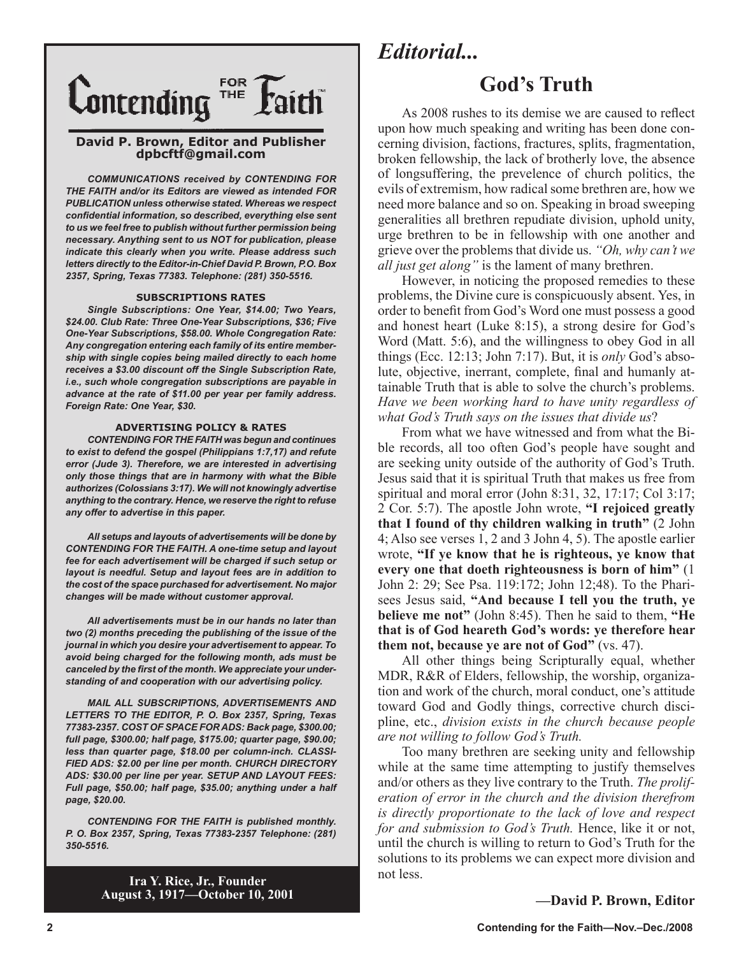

### **David P. Brown, Editor and Publisher dpbcftf@gmail.com**

*COMMUNICATIONS received by CONTENDING FOR THE FAITH and/or its Editors are viewed as intended FOR PUBLICATION unless otherwise stated. Whereas we respect confidential information, so described, everything else sent to us we feel free to publish without further permission being necessary. Anything sent to us NOT for publication, please indicate this clearly when you write. Please address such letters directly to the Editor-in-Chief David P. Brown, P.O. Box 2357, Spring, Texas 77383. Telephone: (281) 350-5516.*

#### **SUBSCRIPTIONS RATES**

*Single Subscriptions: One Year, \$14.00; Two Years, \$24.00. Club Rate: Three One-Year Subscriptions, \$36; Five One-Year Subscriptions, \$58.00. Whole Congregation Rate: Any congregation entering each family of its entire membership with single copies being mailed directly to each home receives a \$3.00 discount off the Single Subscription Rate, i.e., such whole congregation subscriptions are payable in advance at the rate of \$11.00 per year per family address. Foreign Rate: One Year, \$30.*

#### **ADVERTISING POLICY & RATES**

*CONTENDING FOR THE FAITH was begun and continues to exist to defend the gospel (Philippians 1:7,17) and refute error (Jude 3). Therefore, we are interested in advertising only those things that are in harmony with what the Bible authorizes (Colossians 3:17). We will not knowingly advertise anything to the contrary. Hence, we reserve the right to refuse any offer to advertise in this paper.*

*All setups and layouts of advertisements will be done by CONTENDING FOR THE FAITH. A one-time setup and layout fee for each advertisement will be charged if such setup or layout is needful. Setup and layout fees are in addition to the cost of the space purchased for advertisement. No major changes will be made without customer approval.*

*All advertisements must be in our hands no later than two (2) months preceding the publishing of the issue of the journal in which you desire your advertisement to appear. To avoid being charged for the following month, ads must be canceled by the first of the month. We appreciate your understanding of and cooperation with our advertising policy.*

*MAIL ALL SUBSCRIPTIONS, ADVERTISEMENTS AND LETTERS TO THE EDITOR, P. O. Box 2357, Spring, Texas 77383-2357. COST OF SPACE FOR ADS: Back page, \$300.00; full page, \$300.00; half page, \$175.00; quarter page, \$90.00; less than quarter page, \$18.00 per column-inch. CLASSI-FIED ADS: \$2.00 per line per month. CHURCH DIRECTORY ADS: \$30.00 per line per year. SETUP AND LAYOUT FEES: Full page, \$50.00; half page, \$35.00; anything under a half page, \$20.00.*

*CONTENDING FOR THE FAITH is published monthly. P. O. Box 2357, Spring, Texas 77383-2357 Telephone: (281) 350-5516.*

> **Ira Y. Rice, Jr., Founder August 3, 1917—October 10, 2001**

# *Editorial...*

# **God's Truth**

As 2008 rushes to its demise we are caused to reflect upon how much speaking and writing has been done concerning division, factions, fractures, splits, fragmentation, broken fellowship, the lack of brotherly love, the absence of longsuffering, the prevelence of church politics, the evils of extremism, how radical some brethren are, how we need more balance and so on. Speaking in broad sweeping generalities all brethren repudiate division, uphold unity, urge brethren to be in fellowship with one another and grieve over the problems that divide us. *"Oh, why can't we all just get along"* is the lament of many brethren.

However, in noticing the proposed remedies to these problems, the Divine cure is conspicuously absent. Yes, in order to benefit from God's Word one must possess a good and honest heart (Luke 8:15), a strong desire for God's Word (Matt. 5:6), and the willingness to obey God in all things (Ecc. 12:13; John 7:17). But, it is *only* God's absolute, objective, inerrant, complete, final and humanly attainable Truth that is able to solve the church's problems. *Have we been working hard to have unity regardless of what God's Truth says on the issues that divide us*?

From what we have witnessed and from what the Bible records, all too often God's people have sought and are seeking unity outside of the authority of God's Truth. Jesus said that it is spiritual Truth that makes us free from spiritual and moral error (John 8:31, 32, 17:17; Col 3:17; 2 Cor. 5:7). The apostle John wrote, **"I rejoiced greatly that I found of thy children walking in truth"** (2 John 4; Also see verses 1, 2 and 3 John 4, 5). The apostle earlier wrote, **"If ye know that he is righteous, ye know that every one that doeth righteousness is born of him"** (1 John 2: 29; See Psa. 119:172; John 12;48). To the Pharisees Jesus said, **"And because I tell you the truth, ye believe me not"** (John 8:45). Then he said to them, **"He that is of God heareth God's words: ye therefore hear them not, because ye are not of God"** (vs. 47).

All other things being Scripturally equal, whether MDR, R&R of Elders, fellowship, the worship, organization and work of the church, moral conduct, one's attitude toward God and Godly things, corrective church discipline, etc., *division exists in the church because people are not willing to follow God's Truth.*

Too many brethren are seeking unity and fellowship while at the same time attempting to justify themselves and/or others as they live contrary to the Truth. *The proliferation of error in the church and the division therefrom is directly proportionate to the lack of love and respect for and submission to God's Truth.* Hence, like it or not, until the church is willing to return to God's Truth for the solutions to its problems we can expect more division and not less.

### **—David P. Brown, Editor**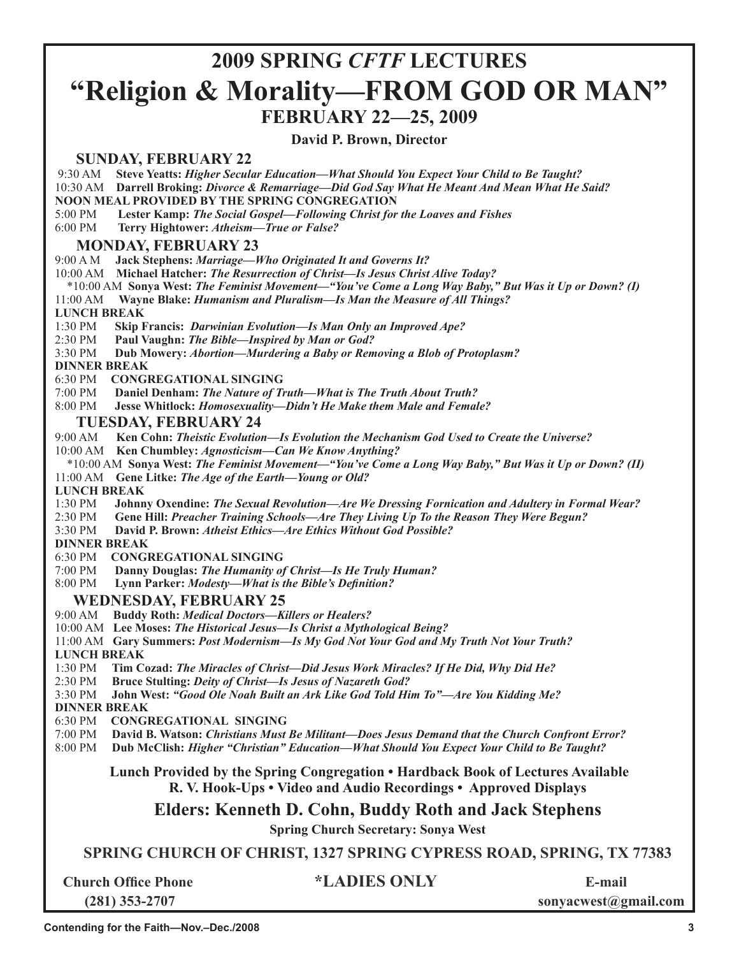# **2009 SPRING** *CFTF* **LECTURES "Religion & Morality—FROM GOD OR MAN" FEBRUARY 22—25, 2009**

## **David P. Brown, Director**

## **SUNDAY, FEBRUARY 22**

9:30 AM **Steve Yeatts:** *Higher Secular Education—What Should You Expect Your Child to Be Taught?*

10:30 AM **Darrell Broking:** *Divorce & Remarriage—Did God Say What He Meant And Mean What He Said?*

**NOON MEAL PROVIDED BY THE SPRING CONGREGATION**

5:00 PM **Lester Kamp:** *The Social Gospel—Following Christ for the Loaves and Fishes*

6:00 PM **Terry Hightower:** *Atheism—True or False?*

## **MONDAY, FEBRUARY 23**

9:00 A M **Jack Stephens:** *Marriage—Who Originated It and Governs It?*

10:00 AM **Michael Hatcher:** *The Resurrection of Christ—Is Jesus Christ Alive Today?*

\*10:00 AM **Sonya West:** *The Feminist Movement—"You've Come a Long Way Baby," But Was it Up or Down? (I)*

11:00 AM **Wayne Blake:** *Humanism and Pluralism—Is Man the Measure of All Things?*

# **LUNCH BREAK**<br>1:30 PM Skip **B**

**Skip Francis: Darwinian Evolution—Is Man Only an Improved Ape?** 

2:30 PM **Paul Vaughn:** *The Bible—Inspired by Man or God?* 

3:30 PM **Dub Mowery:** *Abortion—Murdering a Baby or Removing a Blob of Protoplasm?*

### **DINNER BREAK**

6:30 PM **CONGREGATIONAL SINGING**

7:00 PM **Daniel Denham:** *The Nature of Truth—What is The Truth About Truth?*

8:00 PM **Jesse Whitlock:** *Homosexuality—Didn't He Make them Male and Female?*

## **TUESDAY, FEBRUARY 24**

9:00 AM **Ken Cohn:** *Theistic Evolution—Is Evolution the Mechanism God Used to Create the Universe?*

- 10:00 AM **Ken Chumbley:** *Agnosticism—Can We Know Anything?*
- \*10:00 AM **Sonya West:** *The Feminist Movement—"You've Come a Long Way Baby," But Was it Up or Down? (II)* 11:00 AM **Gene Litke:** *The Age of the Earth—Young or Old?*

**LUNCH BREAK**<br>1:30 PM **Johnn** 

- 1:30 PM **Johnny Oxendine:** *The Sexual Revolution—Are We Dressing Fornication and Adultery in Formal Wear?*
- 2:30 PM **Gene Hill:** *Preacher Training Schools—Are They Living Up To the Reason They Were Begun?*

David P. Brown: *Atheist Ethics—Are Ethics Without God Possible?* 

 **DINNER BREAK**

6:30 PM **CONGREGATIONAL SINGING**

7:00 PM **Danny Douglas:** *The Humanity of Christ—Is He Truly Human?*

8:00 PM **Lynn Parker:** *Modesty—What is the Bible's Definition?*

## **WEDNESDAY, FEBRUARY 25**

- 9:00 AM **Buddy Roth:** *Medical Doctors—Killers or Healers?*
- 10:00 AM **Lee Moses:** *The Historical Jesus—Is Christ a Mythological Being?*

11:00 AM **Gary Summers:** *Post Modernism—Is My God Not Your God and My Truth Not Your Truth?* 

### **LUNCH BREAK**

1:30 PM **Tim Cozad:** *The Miracles of Christ—Did Jesus Work Miracles? If He Did, Why Did He?*

2:30 PM **Bruce Stulting:** *Deity of Christ—Is Jesus of Nazareth God?*

3:30 PM **John West:** *"Good Ole Noah Built an Ark Like God Told Him To"—Are You Kidding Me?*

**DINNER BREAK**

- 6:30 PM **CONGREGATIONAL SINGING**
- 7:00 PM **David B. Watson:** *Christians Must Be Militant—Does Jesus Demand that the Church Confront Error?*

8:00 PM **Dub McClish:** *Higher "Christian" Education—What Should You Expect Your Child to Be Taught?* 

**Lunch Provided by the Spring Congregation • Hardback Book of Lectures Available R. V. Hook-Ups • Video and Audio Recordings • Approved Displays**

**Elders: Kenneth D. Cohn, Buddy Roth and Jack Stephens**

**Spring Church Secretary: Sonya West**

**SPRING CHURCH OF CHRIST, 1327 SPRING CYPRESS ROAD, SPRING, TX 77383**

**Church Office Phone \*LADIES ONLY E-mail**

 **(281) 353-2707 sonyacwest@gmail.com**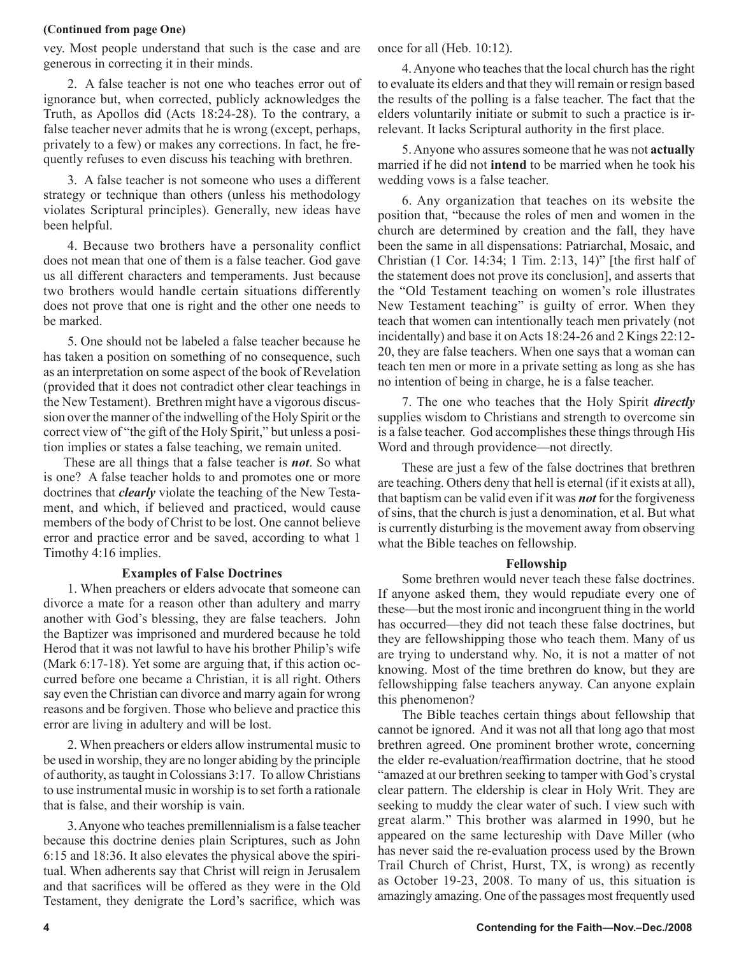### **(Continued from page One)**

vey. Most people understand that such is the case and are generous in correcting it in their minds.

2. A false teacher is not one who teaches error out of ignorance but, when corrected, publicly acknowledges the Truth, as Apollos did (Acts 18:24-28). To the contrary, a false teacher never admits that he is wrong (except, perhaps, privately to a few) or makes any corrections. In fact, he frequently refuses to even discuss his teaching with brethren.

3. A false teacher is not someone who uses a different strategy or technique than others (unless his methodology violates Scriptural principles). Generally, new ideas have been helpful.

4. Because two brothers have a personality conflict does not mean that one of them is a false teacher. God gave us all different characters and temperaments. Just because two brothers would handle certain situations differently does not prove that one is right and the other one needs to be marked.

5. One should not be labeled a false teacher because he has taken a position on something of no consequence, such as an interpretation on some aspect of the book of Revelation (provided that it does not contradict other clear teachings in the New Testament). Brethren might have a vigorous discussion over the manner of the indwelling of the Holy Spirit or the correct view of "the gift of the Holy Spirit," but unless a position implies or states a false teaching, we remain united.

 These are all things that a false teacher is *not*. So what is one? A false teacher holds to and promotes one or more doctrines that *clearly* violate the teaching of the New Testament, and which, if believed and practiced, would cause members of the body of Christ to be lost. One cannot believe error and practice error and be saved, according to what 1 Timothy 4:16 implies.

### **Examples of False Doctrines**

1. When preachers or elders advocate that someone can divorce a mate for a reason other than adultery and marry another with God's blessing, they are false teachers. John the Baptizer was imprisoned and murdered because he told Herod that it was not lawful to have his brother Philip's wife (Mark 6:17-18). Yet some are arguing that, if this action occurred before one became a Christian, it is all right. Others say even the Christian can divorce and marry again for wrong reasons and be forgiven. Those who believe and practice this error are living in adultery and will be lost.

2. When preachers or elders allow instrumental music to be used in worship, they are no longer abiding by the principle of authority, as taught in Colossians 3:17. To allow Christians to use instrumental music in worship is to set forth a rationale that is false, and their worship is vain.

3. Anyone who teaches premillennialism is a false teacher because this doctrine denies plain Scriptures, such as John 6:15 and 18:36. It also elevates the physical above the spiritual. When adherents say that Christ will reign in Jerusalem and that sacrifices will be offered as they were in the Old Testament, they denigrate the Lord's sacrifice, which was

once for all (Heb. 10:12).

4. Anyone who teaches that the local church has the right to evaluate its elders and that they will remain or resign based the results of the polling is a false teacher. The fact that the elders voluntarily initiate or submit to such a practice is irrelevant. It lacks Scriptural authority in the first place.

5. Anyone who assures someone that he was not **actually** married if he did not **intend** to be married when he took his wedding vows is a false teacher.

6. Any organization that teaches on its website the position that, "because the roles of men and women in the church are determined by creation and the fall, they have been the same in all dispensations: Patriarchal, Mosaic, and Christian (1 Cor. 14:34; 1 Tim. 2:13, 14)" [the first half of the statement does not prove its conclusion], and asserts that the "Old Testament teaching on women's role illustrates New Testament teaching" is guilty of error. When they teach that women can intentionally teach men privately (not incidentally) and base it on Acts 18:24-26 and 2 Kings 22:12- 20, they are false teachers. When one says that a woman can teach ten men or more in a private setting as long as she has no intention of being in charge, he is a false teacher.

7. The one who teaches that the Holy Spirit *directly* supplies wisdom to Christians and strength to overcome sin is a false teacher. God accomplishes these things through His Word and through providence—not directly.

These are just a few of the false doctrines that brethren are teaching. Others deny that hell is eternal (if it exists at all), that baptism can be valid even if it was *not* for the forgiveness of sins, that the church is just a denomination, et al. But what is currently disturbing is the movement away from observing what the Bible teaches on fellowship.

### **Fellowship**

Some brethren would never teach these false doctrines. If anyone asked them, they would repudiate every one of these—but the most ironic and incongruent thing in the world has occurred—they did not teach these false doctrines, but they are fellowshipping those who teach them. Many of us are trying to understand why. No, it is not a matter of not knowing. Most of the time brethren do know, but they are fellowshipping false teachers anyway. Can anyone explain this phenomenon?

The Bible teaches certain things about fellowship that cannot be ignored. And it was not all that long ago that most brethren agreed. One prominent brother wrote, concerning the elder re-evaluation/reaffirmation doctrine, that he stood "amazed at our brethren seeking to tamper with God's crystal clear pattern. The eldership is clear in Holy Writ. They are seeking to muddy the clear water of such. I view such with great alarm." This brother was alarmed in 1990, but he appeared on the same lectureship with Dave Miller (who has never said the re-evaluation process used by the Brown Trail Church of Christ, Hurst, TX, is wrong) as recently as October 19-23, 2008. To many of us, this situation is amazingly amazing. One of the passages most frequently used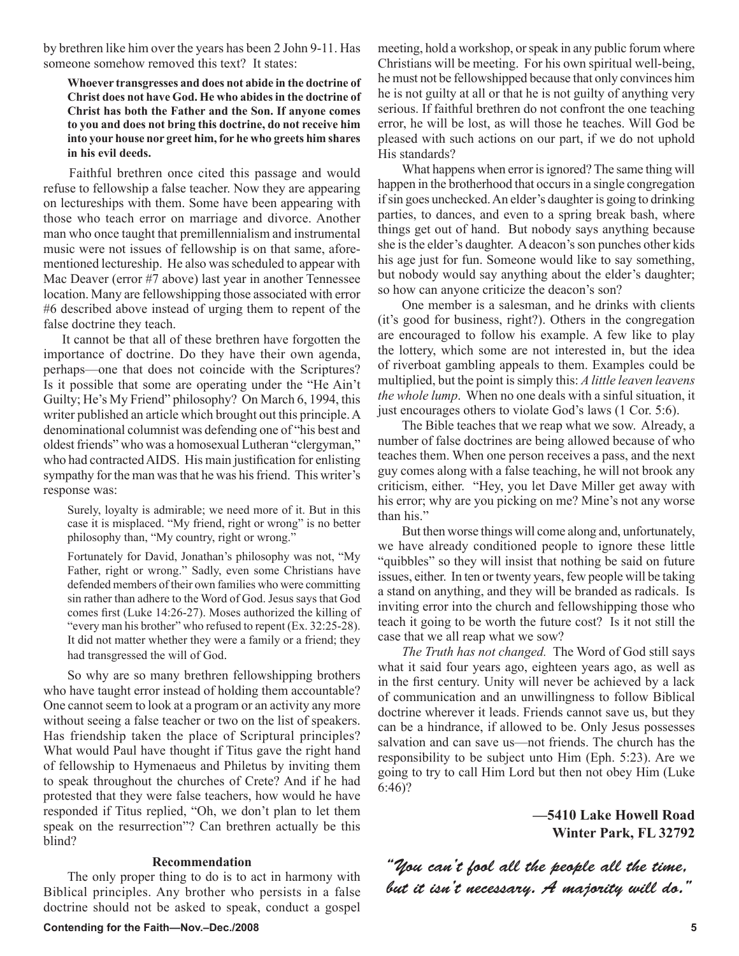by brethren like him over the years has been 2 John 9-11. Has someone somehow removed this text? It states:

**Whoever transgresses and does not abide in the doctrine of Christ does not have God. He who abides in the doctrine of Christ has both the Father and the Son. If anyone comes to you and does not bring this doctrine, do not receive him into your house nor greet him, for he who greets him shares in his evil deeds.**

 Faithful brethren once cited this passage and would refuse to fellowship a false teacher. Now they are appearing on lectureships with them. Some have been appearing with those who teach error on marriage and divorce. Another man who once taught that premillennialism and instrumental music were not issues of fellowship is on that same, aforementioned lectureship. He also was scheduled to appear with Mac Deaver (error #7 above) last year in another Tennessee location. Many are fellowshipping those associated with error #6 described above instead of urging them to repent of the false doctrine they teach.

 It cannot be that all of these brethren have forgotten the importance of doctrine. Do they have their own agenda, perhaps—one that does not coincide with the Scriptures? Is it possible that some are operating under the "He Ain't Guilty; He's My Friend" philosophy? On March 6, 1994, this writer published an article which brought out this principle. A denominational columnist was defending one of "his best and oldest friends" who was a homosexual Lutheran "clergyman," who had contracted AIDS. His main justification for enlisting sympathy for the man was that he was his friend. This writer's response was:

Surely, loyalty is admirable; we need more of it. But in this case it is misplaced. "My friend, right or wrong" is no better philosophy than, "My country, right or wrong."

Fortunately for David, Jonathan's philosophy was not, "My Father, right or wrong." Sadly, even some Christians have defended members of their own families who were committing sin rather than adhere to the Word of God. Jesus says that God comes first (Luke 14:26-27). Moses authorized the killing of "every man his brother" who refused to repent (Ex. 32:25-28). It did not matter whether they were a family or a friend; they had transgressed the will of God.

So why are so many brethren fellowshipping brothers who have taught error instead of holding them accountable? One cannot seem to look at a program or an activity any more without seeing a false teacher or two on the list of speakers. Has friendship taken the place of Scriptural principles? What would Paul have thought if Titus gave the right hand of fellowship to Hymenaeus and Philetus by inviting them to speak throughout the churches of Crete? And if he had protested that they were false teachers, how would he have responded if Titus replied, "Oh, we don't plan to let them speak on the resurrection"? Can brethren actually be this blind?

### **Recommendation**

The only proper thing to do is to act in harmony with Biblical principles. Any brother who persists in a false doctrine should not be asked to speak, conduct a gospel meeting, hold a workshop, or speak in any public forum where Christians will be meeting. For his own spiritual well-being, he must not be fellowshipped because that only convinces him he is not guilty at all or that he is not guilty of anything very serious. If faithful brethren do not confront the one teaching error, he will be lost, as will those he teaches. Will God be pleased with such actions on our part, if we do not uphold His standards?

What happens when error is ignored? The same thing will happen in the brotherhood that occurs in a single congregation if sin goes unchecked. An elder's daughter is going to drinking parties, to dances, and even to a spring break bash, where things get out of hand. But nobody says anything because she is the elder's daughter. A deacon's son punches other kids his age just for fun. Someone would like to say something, but nobody would say anything about the elder's daughter; so how can anyone criticize the deacon's son?

One member is a salesman, and he drinks with clients (it's good for business, right?). Others in the congregation are encouraged to follow his example. A few like to play the lottery, which some are not interested in, but the idea of riverboat gambling appeals to them. Examples could be multiplied, but the point is simply this: *A little leaven leavens the whole lump*. When no one deals with a sinful situation, it just encourages others to violate God's laws (1 Cor. 5:6).

The Bible teaches that we reap what we sow. Already, a number of false doctrines are being allowed because of who teaches them. When one person receives a pass, and the next guy comes along with a false teaching, he will not brook any criticism, either. "Hey, you let Dave Miller get away with his error; why are you picking on me? Mine's not any worse than his."

But then worse things will come along and, unfortunately, we have already conditioned people to ignore these little "quibbles" so they will insist that nothing be said on future issues, either. In ten or twenty years, few people will be taking a stand on anything, and they will be branded as radicals. Is inviting error into the church and fellowshipping those who teach it going to be worth the future cost? Is it not still the case that we all reap what we sow?

*The Truth has not changed.* The Word of God still says what it said four years ago, eighteen years ago, as well as in the first century. Unity will never be achieved by a lack of communication and an unwillingness to follow Biblical doctrine wherever it leads. Friends cannot save us, but they can be a hindrance, if allowed to be. Only Jesus possesses salvation and can save us—not friends. The church has the responsibility to be subject unto Him (Eph. 5:23). Are we going to try to call Him Lord but then not obey Him (Luke 6:46)?

> **—5410 Lake Howell Road Winter Park, FL 32792**

"You can't fool all the people all the time, but it isn't necessary. A majority will do."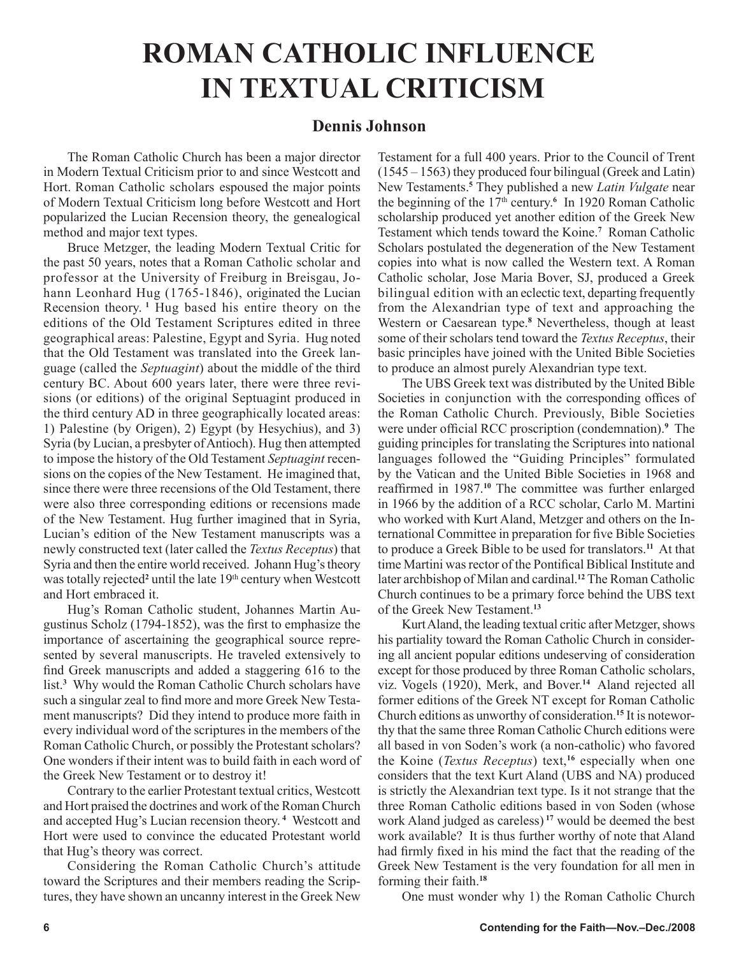# **ROMAN CATHOLIC INFLUENCE IN TEXTUAL CRITICISM**

# **Dennis Johnson**

The Roman Catholic Church has been a major director in Modern Textual Criticism prior to and since Westcott and Hort. Roman Catholic scholars espoused the major points of Modern Textual Criticism long before Westcott and Hort popularized the Lucian Recension theory, the genealogical method and major text types.

Bruce Metzger, the leading Modern Textual Critic for the past 50 years, notes that a Roman Catholic scholar and professor at the University of Freiburg in Breisgau, Johann Leonhard Hug (1765-1846), originated the Lucian Recension theory.**<sup>1</sup>** Hug based his entire theory on the editions of the Old Testament Scriptures edited in three geographical areas: Palestine, Egypt and Syria. Hug noted that the Old Testament was translated into the Greek language (called the *Septuagint*) about the middle of the third century BC. About 600 years later, there were three revisions (or editions) of the original Septuagint produced in the third century AD in three geographically located areas: 1) Palestine (by Origen), 2) Egypt (by Hesychius), and 3) Syria (by Lucian, a presbyter of Antioch). Hug then attempted to impose the history of the Old Testament *Septuagint* recensions on the copies of the New Testament. He imagined that, since there were three recensions of the Old Testament, there were also three corresponding editions or recensions made of the New Testament. Hug further imagined that in Syria, Lucian's edition of the New Testament manuscripts was a newly constructed text (later called the *Textus Receptus*) that Syria and then the entire world received. Johann Hug's theory was totally rejected<sup>2</sup> until the late 19<sup>th</sup> century when Westcott and Hort embraced it.

Hug's Roman Catholic student, Johannes Martin Augustinus Scholz (1794-1852), was the first to emphasize the importance of ascertaining the geographical source represented by several manuscripts. He traveled extensively to find Greek manuscripts and added a staggering 616 to the list.**<sup>3</sup>** Why would the Roman Catholic Church scholars have such a singular zeal to find more and more Greek New Testament manuscripts? Did they intend to produce more faith in every individual word of the scriptures in the members of the Roman Catholic Church, or possibly the Protestant scholars? One wonders if their intent was to build faith in each word of the Greek New Testament or to destroy it!

Contrary to the earlier Protestant textual critics, Westcott and Hort praised the doctrines and work of the Roman Church and accepted Hug's Lucian recension theory. **<sup>4</sup>** Westcott and Hort were used to convince the educated Protestant world that Hug's theory was correct.

Considering the Roman Catholic Church's attitude toward the Scriptures and their members reading the Scriptures, they have shown an uncanny interest in the Greek New Testament for a full 400 years. Prior to the Council of Trent (1545 – 1563) they produced four bilingual (Greek and Latin) New Testaments.**<sup>5</sup>** They published a new *Latin Vulgate* near the beginning of the 17th century.**<sup>6</sup>** In 1920 Roman Catholic scholarship produced yet another edition of the Greek New Testament which tends toward the Koine.**<sup>7</sup>** Roman Catholic Scholars postulated the degeneration of the New Testament copies into what is now called the Western text. A Roman Catholic scholar, Jose Maria Bover, SJ, produced a Greek bilingual edition with an eclectic text, departing frequently from the Alexandrian type of text and approaching the Western or Caesarean type.**<sup>8</sup>** Nevertheless, though at least some of their scholars tend toward the *Textus Receptus*, their basic principles have joined with the United Bible Societies to produce an almost purely Alexandrian type text.

The UBS Greek text was distributed by the United Bible Societies in conjunction with the corresponding offices of the Roman Catholic Church. Previously, Bible Societies were under official RCC proscription (condemnation).**<sup>9</sup>** The guiding principles for translating the Scriptures into national languages followed the "Guiding Principles" formulated by the Vatican and the United Bible Societies in 1968 and reaffirmed in 1987.**<sup>10</sup>** The committee was further enlarged in 1966 by the addition of a RCC scholar, Carlo M. Martini who worked with Kurt Aland, Metzger and others on the International Committee in preparation for five Bible Societies to produce a Greek Bible to be used for translators.**<sup>11</sup>** At that time Martini was rector of the Pontifical Biblical Institute and later archbishop of Milan and cardinal.**<sup>12</sup>** The Roman Catholic Church continues to be a primary force behind the UBS text of the Greek New Testament.**<sup>13</sup>**

Kurt Aland, the leading textual critic after Metzger, shows his partiality toward the Roman Catholic Church in considering all ancient popular editions undeserving of consideration except for those produced by three Roman Catholic scholars, viz. Vogels (1920), Merk, and Bover.**<sup>14</sup>** Aland rejected all former editions of the Greek NT except for Roman Catholic Church editions as unworthy of consideration.**15** It is noteworthy that the same three Roman Catholic Church editions were all based in von Soden's work (a non-catholic) who favored the Koine (*Textus Receptus*) text,**<sup>16</sup>** especially when one considers that the text Kurt Aland (UBS and NA) produced is strictly the Alexandrian text type. Is it not strange that the three Roman Catholic editions based in von Soden (whose work Aland judged as careless) **<sup>17</sup>** would be deemed the best work available? It is thus further worthy of note that Aland had firmly fixed in his mind the fact that the reading of the Greek New Testament is the very foundation for all men in forming their faith.**<sup>18</sup>**

One must wonder why 1) the Roman Catholic Church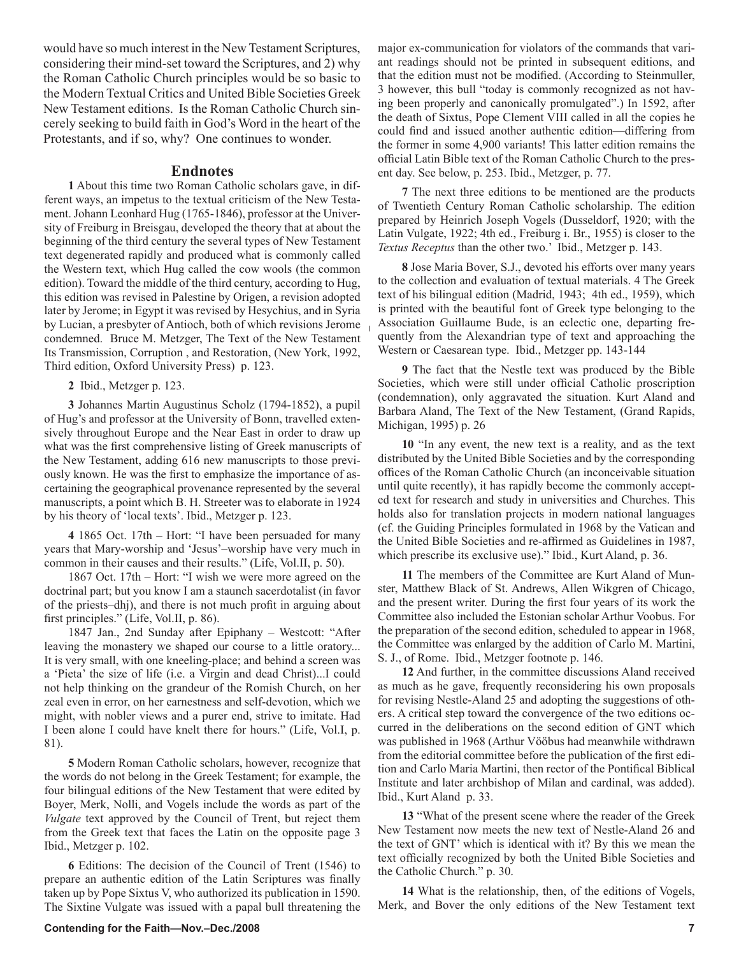would have so much interest in the New Testament Scriptures, considering their mind-set toward the Scriptures, and 2) why the Roman Catholic Church principles would be so basic to the Modern Textual Critics and United Bible Societies Greek New Testament editions. Is the Roman Catholic Church sincerely seeking to build faith in God's Word in the heart of the Protestants, and if so, why? One continues to wonder.

### **Endnotes**

**1** About this time two Roman Catholic scholars gave, in different ways, an impetus to the textual criticism of the New Testament. Johann Leonhard Hug (1765-1846), professor at the University of Freiburg in Breisgau, developed the theory that at about the beginning of the third century the several types of New Testament text degenerated rapidly and produced what is commonly called the Western text, which Hug called the cow wools (the common edition). Toward the middle of the third century, according to Hug, this edition was revised in Palestine by Origen, a revision adopted later by Jerome; in Egypt it was revised by Hesychius, and in Syria by Lucian, a presbyter of Antioch, both of which revisions Jerome condemned. Bruce M. Metzger, The Text of the New Testament Its Transmission, Corruption , and Restoration, (New York, 1992, Third edition, Oxford University Press) p. 123.

**2** Ibid., Metzger p. 123.

**3** Johannes Martin Augustinus Scholz (1794-1852), a pupil of Hug's and professor at the University of Bonn, travelled extensively throughout Europe and the Near East in order to draw up what was the first comprehensive listing of Greek manuscripts of the New Testament, adding 616 new manuscripts to those previously known. He was the first to emphasize the importance of ascertaining the geographical provenance represented by the several manuscripts, a point which B. H. Streeter was to elaborate in 1924 by his theory of 'local texts'. Ibid., Metzger p. 123.

**4** 1865 Oct. 17th – Hort: "I have been persuaded for many years that Mary-worship and 'Jesus'–worship have very much in common in their causes and their results." (Life, Vol.II, p. 50).

1867 Oct. 17th – Hort: "I wish we were more agreed on the doctrinal part; but you know I am a staunch sacerdotalist (in favor of the priests–dhj), and there is not much profit in arguing about first principles." (Life, Vol.II, p. 86).

1847 Jan., 2nd Sunday after Epiphany – Westcott: "After leaving the monastery we shaped our course to a little oratory... It is very small, with one kneeling-place; and behind a screen was a 'Pieta' the size of life (i.e. a Virgin and dead Christ)...I could not help thinking on the grandeur of the Romish Church, on her zeal even in error, on her earnestness and self-devotion, which we might, with nobler views and a purer end, strive to imitate. Had I been alone I could have knelt there for hours." (Life, Vol.I, p. 81).

**5** Modern Roman Catholic scholars, however, recognize that the words do not belong in the Greek Testament; for example, the four bilingual editions of the New Testament that were edited by Boyer, Merk, Nolli, and Vogels include the words as part of the *Vulgate* text approved by the Council of Trent, but reject them from the Greek text that faces the Latin on the opposite page 3 Ibid., Metzger p. 102.

**6** Editions: The decision of the Council of Trent (1546) to prepare an authentic edition of the Latin Scriptures was finally taken up by Pope Sixtus V, who authorized its publication in 1590. The Sixtine Vulgate was issued with a papal bull threatening the major ex-communication for violators of the commands that variant readings should not be printed in subsequent editions, and that the edition must not be modified. (According to Steinmuller, 3 however, this bull "today is commonly recognized as not having been properly and canonically promulgated".) In 1592, after the death of Sixtus, Pope Clement VIII called in all the copies he could find and issued another authentic edition—differing from the former in some 4,900 variants! This latter edition remains the official Latin Bible text of the Roman Catholic Church to the present day. See below, p. 253. Ibid., Metzger, p. 77.

**7** The next three editions to be mentioned are the products of Twentieth Century Roman Catholic scholarship. The edition prepared by Heinrich Joseph Vogels (Dusseldorf, 1920; with the Latin Vulgate, 1922; 4th ed., Freiburg i. Br., 1955) is closer to the *Textus Receptus* than the other two.' Ibid., Metzger p. 143.

**8** Jose Maria Bover, S.J., devoted his efforts over many years to the collection and evaluation of textual materials. 4 The Greek text of his bilingual edition (Madrid, 1943; 4th ed., 1959), which is printed with the beautiful font of Greek type belonging to the Association Guillaume Bude, is an eclectic one, departing frequently from the Alexandrian type of text and approaching the Western or Caesarean type. Ibid., Metzger pp. 143-144

**9** The fact that the Nestle text was produced by the Bible Societies, which were still under official Catholic proscription (condemnation), only aggravated the situation. Kurt Aland and Barbara Aland, The Text of the New Testament, (Grand Rapids, Michigan, 1995) p. 26

**10** "In any event, the new text is a reality, and as the text distributed by the United Bible Societies and by the corresponding offices of the Roman Catholic Church (an inconceivable situation until quite recently), it has rapidly become the commonly accepted text for research and study in universities and Churches. This holds also for translation projects in modern national languages (cf. the Guiding Principles formulated in 1968 by the Vatican and the United Bible Societies and re-affirmed as Guidelines in 1987, which prescribe its exclusive use)." Ibid., Kurt Aland, p. 36.

**11** The members of the Committee are Kurt Aland of Munster, Matthew Black of St. Andrews, Allen Wikgren of Chicago, and the present writer. During the first four years of its work the Committee also included the Estonian scholar Arthur Voobus. For the preparation of the second edition, scheduled to appear in 1968, the Committee was enlarged by the addition of Carlo M. Martini, S. J., of Rome. Ibid., Metzger footnote p. 146.

**12** And further, in the committee discussions Aland received as much as he gave, frequently reconsidering his own proposals for revising Nestle-Aland 25 and adopting the suggestions of others. A critical step toward the convergence of the two editions occurred in the deliberations on the second edition of GNT which was published in 1968 (Arthur Vööbus had meanwhile withdrawn from the editorial committee before the publication of the first edition and Carlo Maria Martini, then rector of the Pontifical Biblical Institute and later archbishop of Milan and cardinal, was added). Ibid., Kurt Aland p. 33.

**13** "What of the present scene where the reader of the Greek New Testament now meets the new text of Nestle-Aland 26 and the text of GNT' which is identical with it? By this we mean the text officially recognized by both the United Bible Societies and the Catholic Church." p. 30.

**14** What is the relationship, then, of the editions of Vogels, Merk, and Bover the only editions of the New Testament text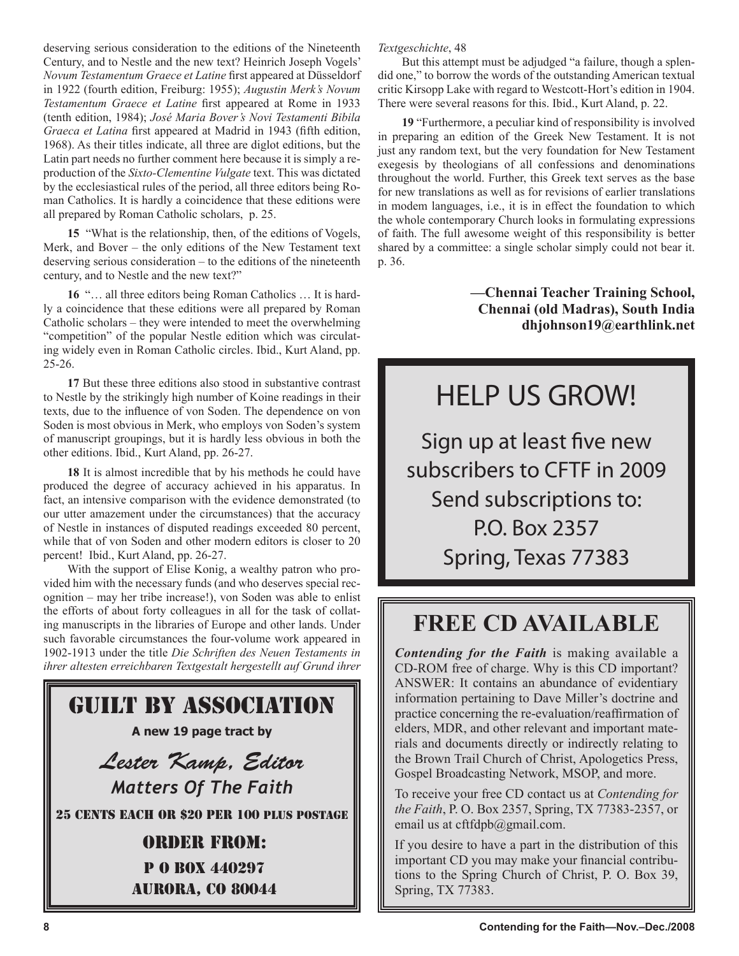deserving serious consideration to the editions of the Nineteenth Century, and to Nestle and the new text? Heinrich Joseph Vogels' *Novum Testamentum Graece et Latine* first appeared at Düsseldorf in 1922 (fourth edition, Freiburg: 1955); *Augustin Merk's Novum Testamentum Graece et Latine* first appeared at Rome in 1933 (tenth edition, 1984); *José Maria Bover's Novi Testamenti Bibila Graeca et Latina* first appeared at Madrid in 1943 (fifth edition, 1968). As their titles indicate, all three are diglot editions, but the Latin part needs no further comment here because it is simply a reproduction of the *Sixto-Clementine Vulgate* text. This was dictated by the ecclesiastical rules of the period, all three editors being Roman Catholics. It is hardly a coincidence that these editions were all prepared by Roman Catholic scholars, p. 25.

**15** "What is the relationship, then, of the editions of Vogels, Merk, and Bover – the only editions of the New Testament text deserving serious consideration – to the editions of the nineteenth century, and to Nestle and the new text?"

**16** "… all three editors being Roman Catholics … It is hardly a coincidence that these editions were all prepared by Roman Catholic scholars – they were intended to meet the overwhelming "competition" of the popular Nestle edition which was circulating widely even in Roman Catholic circles. Ibid., Kurt Aland, pp. 25-26.

**17** But these three editions also stood in substantive contrast to Nestle by the strikingly high number of Koine readings in their texts, due to the influence of von Soden. The dependence on von Soden is most obvious in Merk, who employs von Soden's system of manuscript groupings, but it is hardly less obvious in both the other editions. Ibid., Kurt Aland, pp. 26-27.

**18** It is almost incredible that by his methods he could have produced the degree of accuracy achieved in his apparatus. In fact, an intensive comparison with the evidence demonstrated (to our utter amazement under the circumstances) that the accuracy of Nestle in instances of disputed readings exceeded 80 percent, while that of von Soden and other modern editors is closer to 20 percent! Ibid., Kurt Aland, pp. 26-27.

With the support of Elise Konig, a wealthy patron who provided him with the necessary funds (and who deserves special recognition – may her tribe increase!), von Soden was able to enlist the efforts of about forty colleagues in all for the task of collating manuscripts in the libraries of Europe and other lands. Under such favorable circumstances the four-volume work appeared in 1902-1913 under the title *Die Schriften des Neuen Testaments in ihrer altesten erreichbaren Textgestalt hergestellt auf Grund ihrer* 



## *Textgeschichte*, 48

But this attempt must be adjudged "a failure, though a splendid one," to borrow the words of the outstanding American textual critic Kirsopp Lake with regard to Westcott-Hort's edition in 1904. There were several reasons for this. Ibid., Kurt Aland, p. 22.

**19** "Furthermore, a peculiar kind of responsibility is involved in preparing an edition of the Greek New Testament. It is not just any random text, but the very foundation for New Testament exegesis by theologians of all confessions and denominations throughout the world. Further, this Greek text serves as the base for new translations as well as for revisions of earlier translations in modem languages, i.e., it is in effect the foundation to which the whole contemporary Church looks in formulating expressions of faith. The full awesome weight of this responsibility is better shared by a committee: a single scholar simply could not bear it. p. 36.

> **—Chennai Teacher Training School, Chennai (old Madras), South India dhjohnson19@earthlink.net**

# HELP US GROW!

Sign up at least five new subscribers to CFTF in 2009 Send subscriptions to: P.O. Box 2357 Spring, Texas 77383

# **FREE CD AVAILABLE**

*Contending for the Faith* is making available a CD-ROM free of charge. Why is this CD important? ANSWER: It contains an abundance of evidentiary information pertaining to Dave Miller's doctrine and practice concerning the re-evaluation/reaffirmation of elders, MDR, and other relevant and important materials and documents directly or indirectly relating to the Brown Trail Church of Christ, Apologetics Press, Gospel Broadcasting Network, MSOP, and more.

To receive your free CD contact us at *Contending for the Faith*, P. O. Box 2357, Spring, TX 77383-2357, or email us at cftfdpb@gmail.com.

If you desire to have a part in the distribution of this important CD you may make your financial contributions to the Spring Church of Christ, P. O. Box 39, Spring, TX 77383.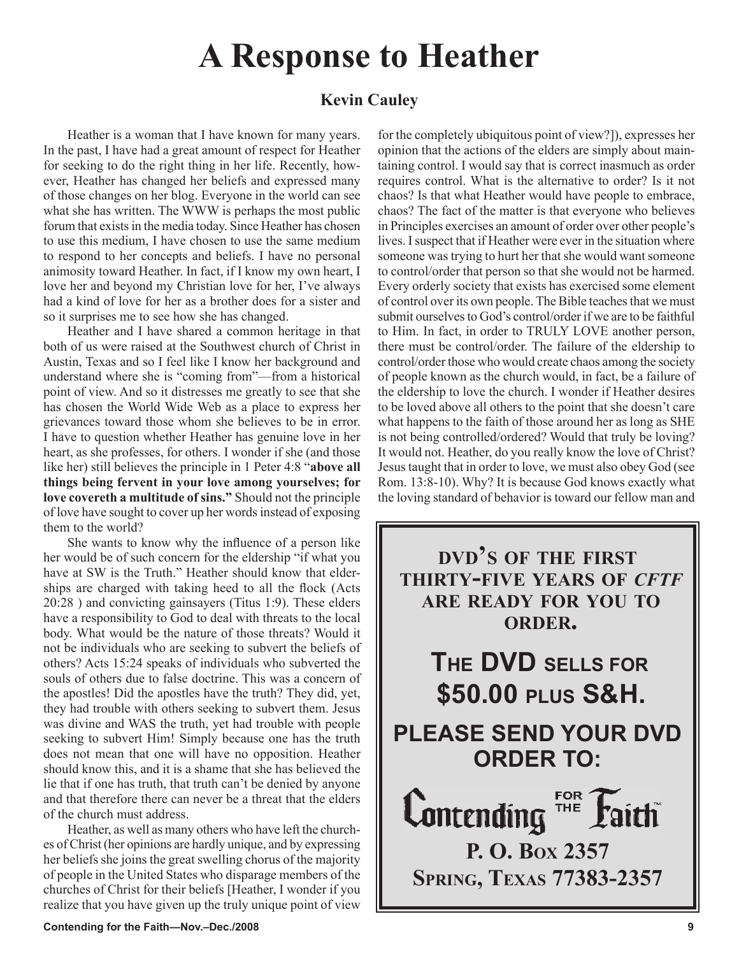# **A Response to Heather**

# **Kevin Cauley**

Heather is a woman that I have known for many years. In the past, I have had a great amount of respect for Heather for seeking to do the right thing in her life. Recently, however, Heather has changed her beliefs and expressed many of those changes on her blog. Everyone in the world can see what she has written. The WWW is perhaps the most public forum that exists in the media today. Since Heather has chosen to use this medium, I have chosen to use the same medium to respond to her concepts and beliefs. I have no personal animosity toward Heather. In fact, if I know my own heart, I love her and beyond my Christian love for her, I've always had a kind of love for her as a brother does for a sister and so it surprises me to see how she has changed.

Heather and I have shared a common heritage in that both of us were raised at the Southwest church of Christ in Austin, Texas and so I feel like I know her background and understand where she is "coming from"—from a historical point of view. And so it distresses me greatly to see that she has chosen the World Wide Web as a place to express her grievances toward those whom she believes to be in error. I have to question whether Heather has genuine love in her heart, as she professes, for others. I wonder if she (and those like her) still believes the principle in 1 Peter 4:8 "**above all things being fervent in your love among yourselves; for love covereth a multitude of sins."** Should not the principle of love have sought to cover up her words instead of exposing them to the world?

She wants to know why the influence of a person like her would be of such concern for the eldership "if what you have at SW is the Truth." Heather should know that elderships are charged with taking heed to all the flock (Acts 20:28 ) and convicting gainsayers (Titus 1:9). These elders have a responsibility to God to deal with threats to the local body. What would be the nature of those threats? Would it not be individuals who are seeking to subvert the beliefs of others? Acts 15:24 speaks of individuals who subverted the souls of others due to false doctrine. This was a concern of the apostles! Did the apostles have the truth? They did, yet, they had trouble with others seeking to subvert them. Jesus was divine and WAS the truth, yet had trouble with people seeking to subvert Him! Simply because one has the truth does not mean that one will have no opposition. Heather should know this, and it is a shame that she has believed the lie that if one has truth, that truth can't be denied by anyone and that therefore there can never be a threat that the elders of the church must address.

Heather, as well as many others who have left the churches of Christ (her opinions are hardly unique, and by expressing her beliefs she joins the great swelling chorus of the majority of people in the United States who disparage members of the churches of Christ for their beliefs [Heather, I wonder if you realize that you have given up the truly unique point of view

for the completely ubiquitous point of view?]), expresses her opinion that the actions of the elders are simply about maintaining control. I would say that is correct inasmuch as order requires control. What is the alternative to order? Is it not chaos? Is that what Heather would have people to embrace, chaos? The fact of the matter is that everyone who believes in Principles exercises an amount of order over other people's lives. I suspect that if Heather were ever in the situation where someone was trying to hurt her that she would want someone to control/order that person so that she would not be harmed. Every orderly society that exists has exercised some element of control over its own people. The Bible teaches that we must submit ourselves to God's control/order if we are to be faithful to Him. In fact, in order to TRULY LOVE another person, there must be control/order. The failure of the eldership to control/order those who would create chaos among the society of people known as the church would, in fact, be a failure of the eldership to love the church. I wonder if Heather desires to be loved above all others to the point that she doesn't care what happens to the faith of those around her as long as SHE is not being controlled/ordered? Would that truly be loving? It would not. Heather, do you really know the love of Christ? Jesus taught that in order to love, we must also obey God (see Rom. 13:8-10). Why? It is because God knows exactly what the loving standard of behavior is toward our fellow man and

**DVD'S OF THE FIRST THIRTY-FIVE YEARS OF** *CFTF* **ARE READY FOR YOU TO ORDER.**

**THE DVD SELLS FOR \$50.00 PLUS S&H. PLEASE SEND YOUR DVD ORDER TO:**

**FOR Lontending THE P. O. BOX 2357 SPRING, TEXAS 77383-2357**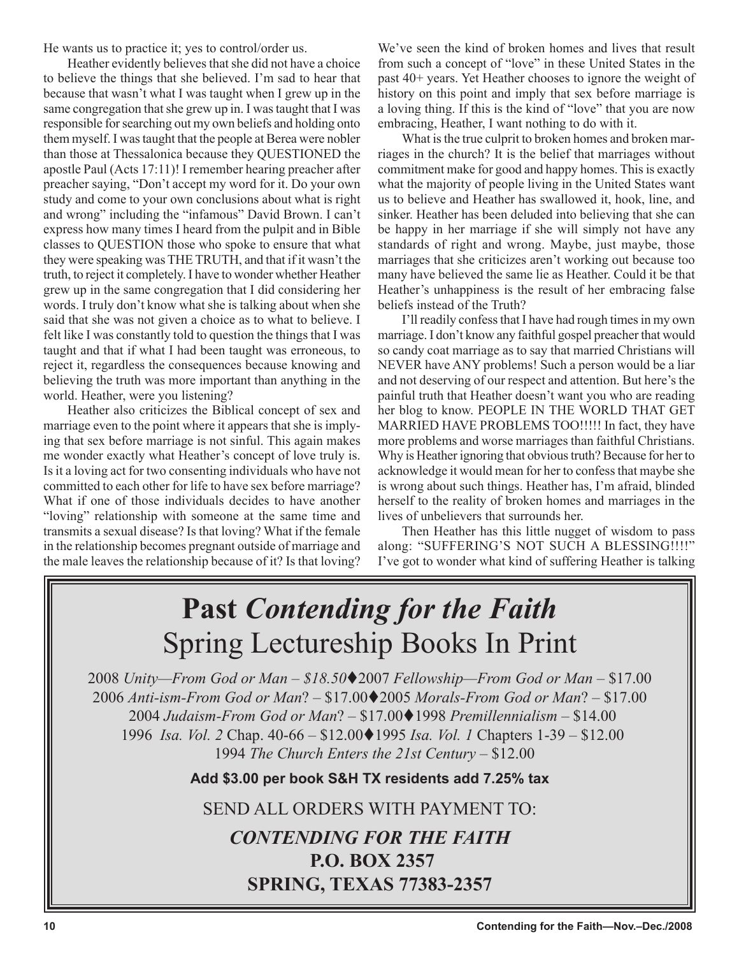He wants us to practice it; yes to control/order us.

Heather evidently believes that she did not have a choice to believe the things that she believed. I'm sad to hear that because that wasn't what I was taught when I grew up in the same congregation that she grew up in. I was taught that I was responsible for searching out my own beliefs and holding onto them myself. I was taught that the people at Berea were nobler than those at Thessalonica because they QUESTIONED the apostle Paul (Acts 17:11)! I remember hearing preacher after preacher saying, "Don't accept my word for it. Do your own study and come to your own conclusions about what is right and wrong" including the "infamous" David Brown. I can't express how many times I heard from the pulpit and in Bible classes to QUESTION those who spoke to ensure that what they were speaking was THE TRUTH, and that if it wasn't the truth, to reject it completely. I have to wonder whether Heather grew up in the same congregation that I did considering her words. I truly don't know what she is talking about when she said that she was not given a choice as to what to believe. I felt like I was constantly told to question the things that I was taught and that if what I had been taught was erroneous, to reject it, regardless the consequences because knowing and believing the truth was more important than anything in the world. Heather, were you listening?

Heather also criticizes the Biblical concept of sex and marriage even to the point where it appears that she is implying that sex before marriage is not sinful. This again makes me wonder exactly what Heather's concept of love truly is. Is it a loving act for two consenting individuals who have not committed to each other for life to have sex before marriage? What if one of those individuals decides to have another "loving" relationship with someone at the same time and transmits a sexual disease? Is that loving? What if the female in the relationship becomes pregnant outside of marriage and the male leaves the relationship because of it? Is that loving?

We've seen the kind of broken homes and lives that result from such a concept of "love" in these United States in the past 40+ years. Yet Heather chooses to ignore the weight of history on this point and imply that sex before marriage is a loving thing. If this is the kind of "love" that you are now embracing, Heather, I want nothing to do with it.

What is the true culprit to broken homes and broken marriages in the church? It is the belief that marriages without commitment make for good and happy homes. This is exactly what the majority of people living in the United States want us to believe and Heather has swallowed it, hook, line, and sinker. Heather has been deluded into believing that she can be happy in her marriage if she will simply not have any standards of right and wrong. Maybe, just maybe, those marriages that she criticizes aren't working out because too many have believed the same lie as Heather. Could it be that Heather's unhappiness is the result of her embracing false beliefs instead of the Truth?

I'll readily confess that I have had rough times in my own marriage. I don't know any faithful gospel preacher that would so candy coat marriage as to say that married Christians will NEVER have ANY problems! Such a person would be a liar and not deserving of our respect and attention. But here's the painful truth that Heather doesn't want you who are reading her blog to know. PEOPLE IN THE WORLD THAT GET MARRIED HAVE PROBLEMS TOO!!!!! In fact, they have more problems and worse marriages than faithful Christians. Why is Heather ignoring that obvious truth? Because for her to acknowledge it would mean for her to confess that maybe she is wrong about such things. Heather has, I'm afraid, blinded herself to the reality of broken homes and marriages in the lives of unbelievers that surrounds her.

Then Heather has this little nugget of wisdom to pass along: "SUFFERING'S NOT SUCH A BLESSING!!!!" I've got to wonder what kind of suffering Heather is talking

# **Past** *Contending for the Faith* Spring Lectureship Books In Print

*Unity—From God or Man – \$18.50*2007 *Fellowship—From God or Man* – \$17.00 *Anti-ism-From God or Man*? – \$17.002005 *Morals-From God or Man*? – \$17.00 *Judaism-From God or Man*? – \$17.001998 *Premillennialism –* \$14.00 *Isa. Vol. 2* Chap. 40-66 – \$12.001995 *Isa. Vol. 1* Chapters 1-39 – \$12.00 *The Church Enters the 21st Century* – \$12.00

**Add \$3.00 per book S&H TX residents add 7.25% tax**

SEND ALL ORDERS WITH PAYMENT TO:

# *CONTENDING FOR THE FAITH* **P.O. BOX 2357 SPRING, TEXAS 77383-2357**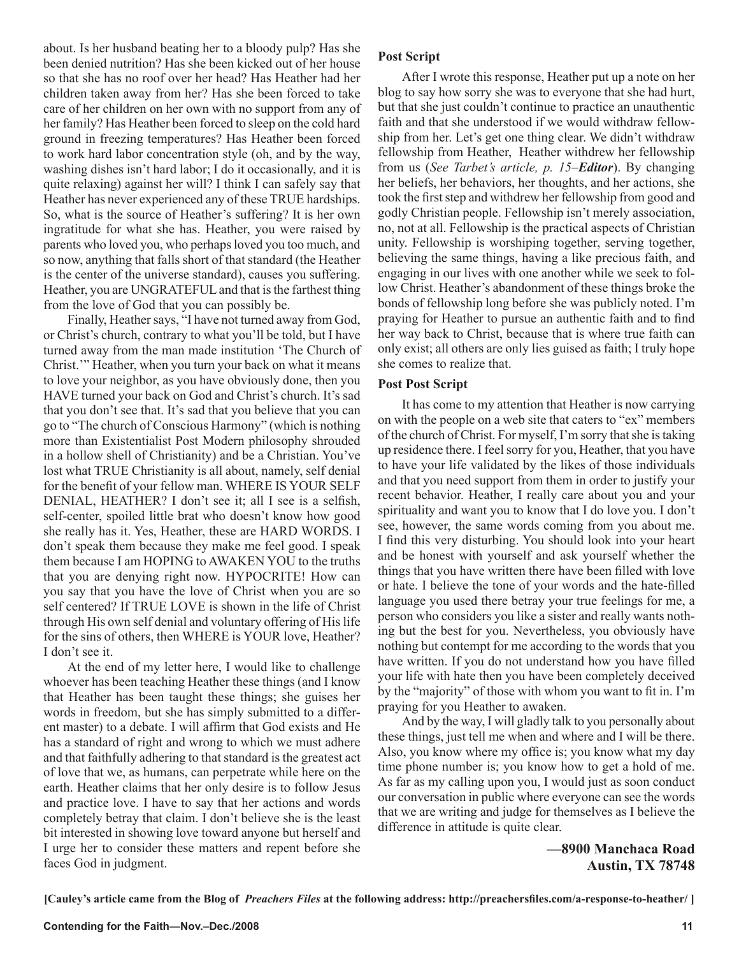about. Is her husband beating her to a bloody pulp? Has she been denied nutrition? Has she been kicked out of her house so that she has no roof over her head? Has Heather had her children taken away from her? Has she been forced to take care of her children on her own with no support from any of her family? Has Heather been forced to sleep on the cold hard ground in freezing temperatures? Has Heather been forced to work hard labor concentration style (oh, and by the way, washing dishes isn't hard labor; I do it occasionally, and it is quite relaxing) against her will? I think I can safely say that Heather has never experienced any of these TRUE hardships. So, what is the source of Heather's suffering? It is her own ingratitude for what she has. Heather, you were raised by parents who loved you, who perhaps loved you too much, and so now, anything that falls short of that standard (the Heather is the center of the universe standard), causes you suffering. Heather, you are UNGRATEFUL and that is the farthest thing from the love of God that you can possibly be.

Finally, Heather says, "I have not turned away from God, or Christ's church, contrary to what you'll be told, but I have turned away from the man made institution 'The Church of Christ.'" Heather, when you turn your back on what it means to love your neighbor, as you have obviously done, then you HAVE turned your back on God and Christ's church. It's sad that you don't see that. It's sad that you believe that you can go to "The church of Conscious Harmony" (which is nothing more than Existentialist Post Modern philosophy shrouded in a hollow shell of Christianity) and be a Christian. You've lost what TRUE Christianity is all about, namely, self denial for the benefit of your fellow man. WHERE IS YOUR SELF DENIAL, HEATHER? I don't see it; all I see is a selfish, self-center, spoiled little brat who doesn't know how good she really has it. Yes, Heather, these are HARD WORDS. I don't speak them because they make me feel good. I speak them because I am HOPING to AWAKEN YOU to the truths that you are denying right now. HYPOCRITE! How can you say that you have the love of Christ when you are so self centered? If TRUE LOVE is shown in the life of Christ through His own self denial and voluntary offering of His life for the sins of others, then WHERE is YOUR love, Heather? I don't see it.

At the end of my letter here, I would like to challenge whoever has been teaching Heather these things (and I know that Heather has been taught these things; she guises her words in freedom, but she has simply submitted to a different master) to a debate. I will affirm that God exists and He has a standard of right and wrong to which we must adhere and that faithfully adhering to that standard is the greatest act of love that we, as humans, can perpetrate while here on the earth. Heather claims that her only desire is to follow Jesus and practice love. I have to say that her actions and words completely betray that claim. I don't believe she is the least bit interested in showing love toward anyone but herself and I urge her to consider these matters and repent before she faces God in judgment.

## **Post Script**

After I wrote this response, Heather put up a note on her blog to say how sorry she was to everyone that she had hurt, but that she just couldn't continue to practice an unauthentic faith and that she understood if we would withdraw fellowship from her. Let's get one thing clear. We didn't withdraw fellowship from Heather, Heather withdrew her fellowship from us (*See Tarbet's article, p. 15*–*Editor*). By changing her beliefs, her behaviors, her thoughts, and her actions, she took the first step and withdrew her fellowship from good and godly Christian people. Fellowship isn't merely association, no, not at all. Fellowship is the practical aspects of Christian unity. Fellowship is worshiping together, serving together, believing the same things, having a like precious faith, and engaging in our lives with one another while we seek to follow Christ. Heather's abandonment of these things broke the bonds of fellowship long before she was publicly noted. I'm praying for Heather to pursue an authentic faith and to find her way back to Christ, because that is where true faith can only exist; all others are only lies guised as faith; I truly hope she comes to realize that.

## **Post Post Script**

It has come to my attention that Heather is now carrying on with the people on a web site that caters to "ex" members of the church of Christ. For myself, I'm sorry that she is taking up residence there. I feel sorry for you, Heather, that you have to have your life validated by the likes of those individuals and that you need support from them in order to justify your recent behavior. Heather, I really care about you and your spirituality and want you to know that I do love you. I don't see, however, the same words coming from you about me. I find this very disturbing. You should look into your heart and be honest with yourself and ask yourself whether the things that you have written there have been filled with love or hate. I believe the tone of your words and the hate-filled language you used there betray your true feelings for me, a person who considers you like a sister and really wants nothing but the best for you. Nevertheless, you obviously have nothing but contempt for me according to the words that you have written. If you do not understand how you have filled your life with hate then you have been completely deceived by the "majority" of those with whom you want to fit in. I'm praying for you Heather to awaken.

And by the way, I will gladly talk to you personally about these things, just tell me when and where and I will be there. Also, you know where my office is; you know what my day time phone number is; you know how to get a hold of me. As far as my calling upon you, I would just as soon conduct our conversation in public where everyone can see the words that we are writing and judge for themselves as I believe the difference in attitude is quite clear.

> **—8900 Manchaca Road Austin, TX 78748**

**[Cauley's article came from the Blog of** *Preachers Files* **at the following address: http://preachersfiles.com/a-response-to-heather/ ]**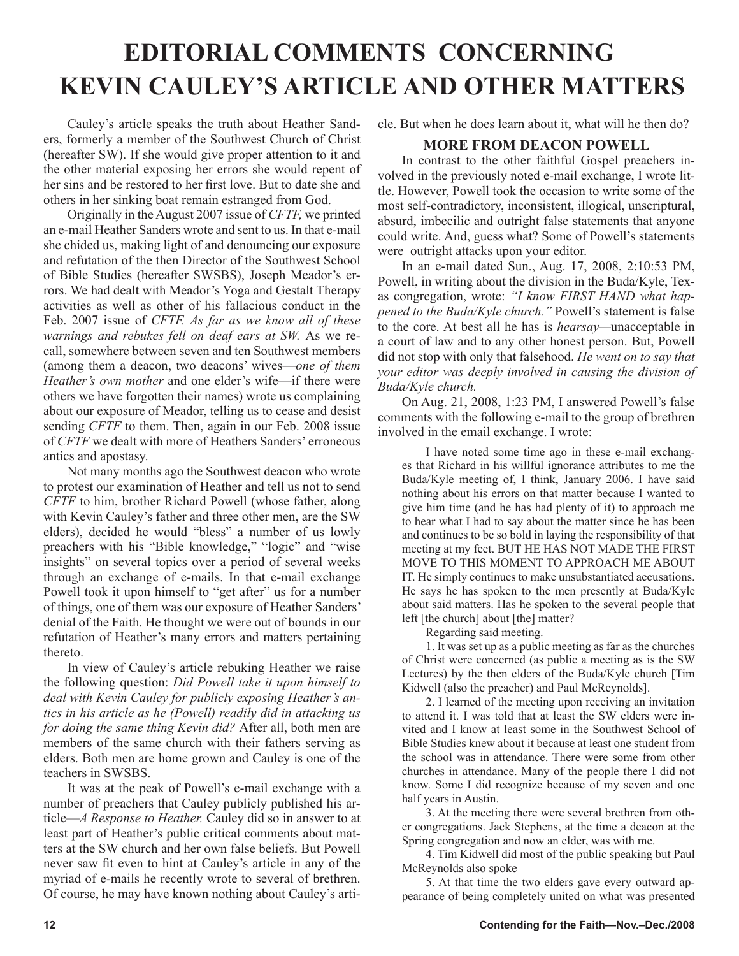# **EDITORIAL COMMENTS CONCERNING KEVIN CAULEY'S ARTICLE AND OTHER MATTERS**

Cauley's article speaks the truth about Heather Sanders, formerly a member of the Southwest Church of Christ (hereafter SW). If she would give proper attention to it and the other material exposing her errors she would repent of her sins and be restored to her first love. But to date she and others in her sinking boat remain estranged from God.

Originally in the August 2007 issue of *CFTF,* we printed an e-mail Heather Sanders wrote and sent to us. In that e-mail she chided us, making light of and denouncing our exposure and refutation of the then Director of the Southwest School of Bible Studies (hereafter SWSBS), Joseph Meador's errors. We had dealt with Meador's Yoga and Gestalt Therapy activities as well as other of his fallacious conduct in the Feb. 2007 issue of *CFTF. As far as we know all of these warnings and rebukes fell on deaf ears at SW.* As we recall, somewhere between seven and ten Southwest members (among them a deacon, two deacons' wives—*one of them Heather's own mother* and one elder's wife—if there were others we have forgotten their names) wrote us complaining about our exposure of Meador, telling us to cease and desist sending *CFTF* to them. Then, again in our Feb. 2008 issue of *CFTF* we dealt with more of Heathers Sanders' erroneous antics and apostasy.

Not many months ago the Southwest deacon who wrote to protest our examination of Heather and tell us not to send *CFTF* to him, brother Richard Powell (whose father, along with Kevin Cauley's father and three other men, are the SW elders), decided he would "bless" a number of us lowly preachers with his "Bible knowledge," "logic" and "wise insights" on several topics over a period of several weeks through an exchange of e-mails. In that e-mail exchange Powell took it upon himself to "get after" us for a number of things, one of them was our exposure of Heather Sanders' denial of the Faith. He thought we were out of bounds in our refutation of Heather's many errors and matters pertaining thereto.

In view of Cauley's article rebuking Heather we raise the following question: *Did Powell take it upon himself to deal with Kevin Cauley for publicly exposing Heather's antics in his article as he (Powell) readily did in attacking us for doing the same thing Kevin did?* After all, both men are members of the same church with their fathers serving as elders. Both men are home grown and Cauley is one of the teachers in SWSBS.

It was at the peak of Powell's e-mail exchange with a number of preachers that Cauley publicly published his article—*A Response to Heather.* Cauley did so in answer to at least part of Heather's public critical comments about matters at the SW church and her own false beliefs. But Powell never saw fit even to hint at Cauley's article in any of the myriad of e-mails he recently wrote to several of brethren. Of course, he may have known nothing about Cauley's article. But when he does learn about it, what will he then do?

# **MORE FROM DEACON POWELL**

In contrast to the other faithful Gospel preachers involved in the previously noted e-mail exchange, I wrote little. However, Powell took the occasion to write some of the most self-contradictory, inconsistent, illogical, unscriptural, absurd, imbecilic and outright false statements that anyone could write. And, guess what? Some of Powell's statements were outright attacks upon your editor.

In an e-mail dated Sun., Aug. 17, 2008, 2:10:53 PM, Powell, in writing about the division in the Buda/Kyle, Texas congregation, wrote: *"I know FIRST HAND what happened to the Buda/Kyle church."* Powell's statement is false to the core. At best all he has is *hearsay—*unacceptable in a court of law and to any other honest person. But, Powell did not stop with only that falsehood. *He went on to say that your editor was deeply involved in causing the division of Buda/Kyle church.*

On Aug. 21, 2008, 1:23 PM, I answered Powell's false comments with the following e-mail to the group of brethren involved in the email exchange. I wrote:

I have noted some time ago in these e-mail exchanges that Richard in his willful ignorance attributes to me the Buda/Kyle meeting of, I think, January 2006. I have said nothing about his errors on that matter because I wanted to give him time (and he has had plenty of it) to approach me to hear what I had to say about the matter since he has been and continues to be so bold in laying the responsibility of that meeting at my feet. BUT HE HAS NOT MADE THE FIRST MOVE TO THIS MOMENT TO APPROACH ME ABOUT IT. He simply continues to make unsubstantiated accusations. He says he has spoken to the men presently at Buda/Kyle about said matters. Has he spoken to the several people that left [the church] about [the] matter?

Regarding said meeting.

1. It was set up as a public meeting as far as the churches of Christ were concerned (as public a meeting as is the SW Lectures) by the then elders of the Buda/Kyle church [Tim Kidwell (also the preacher) and Paul McReynolds].

2. I learned of the meeting upon receiving an invitation to attend it. I was told that at least the SW elders were invited and I know at least some in the Southwest School of Bible Studies knew about it because at least one student from the school was in attendance. There were some from other churches in attendance. Many of the people there I did not know. Some I did recognize because of my seven and one half years in Austin.

3. At the meeting there were several brethren from other congregations. Jack Stephens, at the time a deacon at the Spring congregation and now an elder, was with me.

4. Tim Kidwell did most of the public speaking but Paul McReynolds also spoke

5. At that time the two elders gave every outward appearance of being completely united on what was presented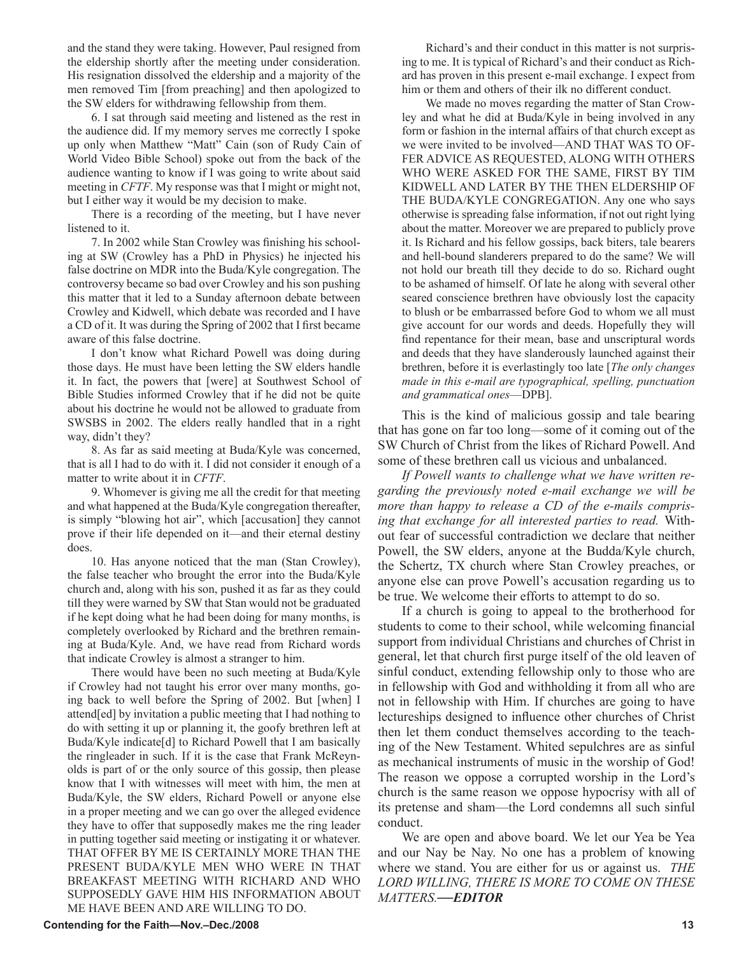and the stand they were taking. However, Paul resigned from the eldership shortly after the meeting under consideration. His resignation dissolved the eldership and a majority of the men removed Tim [from preaching] and then apologized to the SW elders for withdrawing fellowship from them.

6. I sat through said meeting and listened as the rest in the audience did. If my memory serves me correctly I spoke up only when Matthew "Matt" Cain (son of Rudy Cain of World Video Bible School) spoke out from the back of the audience wanting to know if I was going to write about said meeting in *CFTF*. My response was that I might or might not, but I either way it would be my decision to make.

There is a recording of the meeting, but I have never listened to it.

7. In 2002 while Stan Crowley was finishing his schooling at SW (Crowley has a PhD in Physics) he injected his false doctrine on MDR into the Buda/Kyle congregation. The controversy became so bad over Crowley and his son pushing this matter that it led to a Sunday afternoon debate between Crowley and Kidwell, which debate was recorded and I have a CD of it. It was during the Spring of 2002 that I first became aware of this false doctrine.

I don't know what Richard Powell was doing during those days. He must have been letting the SW elders handle it. In fact, the powers that [were] at Southwest School of Bible Studies informed Crowley that if he did not be quite about his doctrine he would not be allowed to graduate from SWSBS in 2002. The elders really handled that in a right way, didn't they?

8. As far as said meeting at Buda/Kyle was concerned, that is all I had to do with it. I did not consider it enough of a matter to write about it in *CFTF*.

9. Whomever is giving me all the credit for that meeting and what happened at the Buda/Kyle congregation thereafter, is simply "blowing hot air", which [accusation] they cannot prove if their life depended on it—and their eternal destiny does.

10. Has anyone noticed that the man (Stan Crowley), the false teacher who brought the error into the Buda/Kyle church and, along with his son, pushed it as far as they could till they were warned by SW that Stan would not be graduated if he kept doing what he had been doing for many months, is completely overlooked by Richard and the brethren remaining at Buda/Kyle. And, we have read from Richard words that indicate Crowley is almost a stranger to him.

There would have been no such meeting at Buda/Kyle if Crowley had not taught his error over many months, going back to well before the Spring of 2002. But [when] I attend[ed] by invitation a public meeting that I had nothing to do with setting it up or planning it, the goofy brethren left at Buda/Kyle indicate[d] to Richard Powell that I am basically the ringleader in such. If it is the case that Frank McReynolds is part of or the only source of this gossip, then please know that I with witnesses will meet with him, the men at Buda/Kyle, the SW elders, Richard Powell or anyone else in a proper meeting and we can go over the alleged evidence they have to offer that supposedly makes me the ring leader in putting together said meeting or instigating it or whatever. THAT OFFER BY ME IS CERTAINLY MORE THAN THE PRESENT BUDA/KYLE MEN WHO WERE IN THAT BREAKFAST MEETING WITH RICHARD AND WHO SUPPOSEDLY GAVE HIM HIS INFORMATION ABOUT ME HAVE BEEN AND ARE WILLING TO DO.

Richard's and their conduct in this matter is not surprising to me. It is typical of Richard's and their conduct as Richard has proven in this present e-mail exchange. I expect from him or them and others of their ilk no different conduct.

We made no moves regarding the matter of Stan Crowley and what he did at Buda/Kyle in being involved in any form or fashion in the internal affairs of that church except as we were invited to be involved—AND THAT WAS TO OF-FER ADVICE AS REQUESTED, ALONG WITH OTHERS WHO WERE ASKED FOR THE SAME, FIRST BY TIM KIDWELL AND LATER BY THE THEN ELDERSHIP OF THE BUDA/KYLE CONGREGATION. Any one who says otherwise is spreading false information, if not out right lying about the matter. Moreover we are prepared to publicly prove it. Is Richard and his fellow gossips, back biters, tale bearers and hell-bound slanderers prepared to do the same? We will not hold our breath till they decide to do so. Richard ought to be ashamed of himself. Of late he along with several other seared conscience brethren have obviously lost the capacity to blush or be embarrassed before God to whom we all must give account for our words and deeds. Hopefully they will find repentance for their mean, base and unscriptural words and deeds that they have slanderously launched against their brethren, before it is everlastingly too late [*The only changes made in this e-mail are typographical, spelling, punctuation and grammatical ones*—DPB].

This is the kind of malicious gossip and tale bearing that has gone on far too long—some of it coming out of the SW Church of Christ from the likes of Richard Powell. And some of these brethren call us vicious and unbalanced.

*If Powell wants to challenge what we have written regarding the previously noted e-mail exchange we will be more than happy to release a CD of the e-mails comprising that exchange for all interested parties to read.* Without fear of successful contradiction we declare that neither Powell, the SW elders, anyone at the Budda/Kyle church, the Schertz, TX church where Stan Crowley preaches, or anyone else can prove Powell's accusation regarding us to be true. We welcome their efforts to attempt to do so.

If a church is going to appeal to the brotherhood for students to come to their school, while welcoming financial support from individual Christians and churches of Christ in general, let that church first purge itself of the old leaven of sinful conduct, extending fellowship only to those who are in fellowship with God and withholding it from all who are not in fellowship with Him. If churches are going to have lectureships designed to influence other churches of Christ then let them conduct themselves according to the teaching of the New Testament. Whited sepulchres are as sinful as mechanical instruments of music in the worship of God! The reason we oppose a corrupted worship in the Lord's church is the same reason we oppose hypocrisy with all of its pretense and sham—the Lord condemns all such sinful conduct.

We are open and above board. We let our Yea be Yea and our Nay be Nay. No one has a problem of knowing where we stand. You are either for us or against us. *THE LORD WILLING, THERE IS MORE TO COME ON THESE MATTERS.—EDITOR*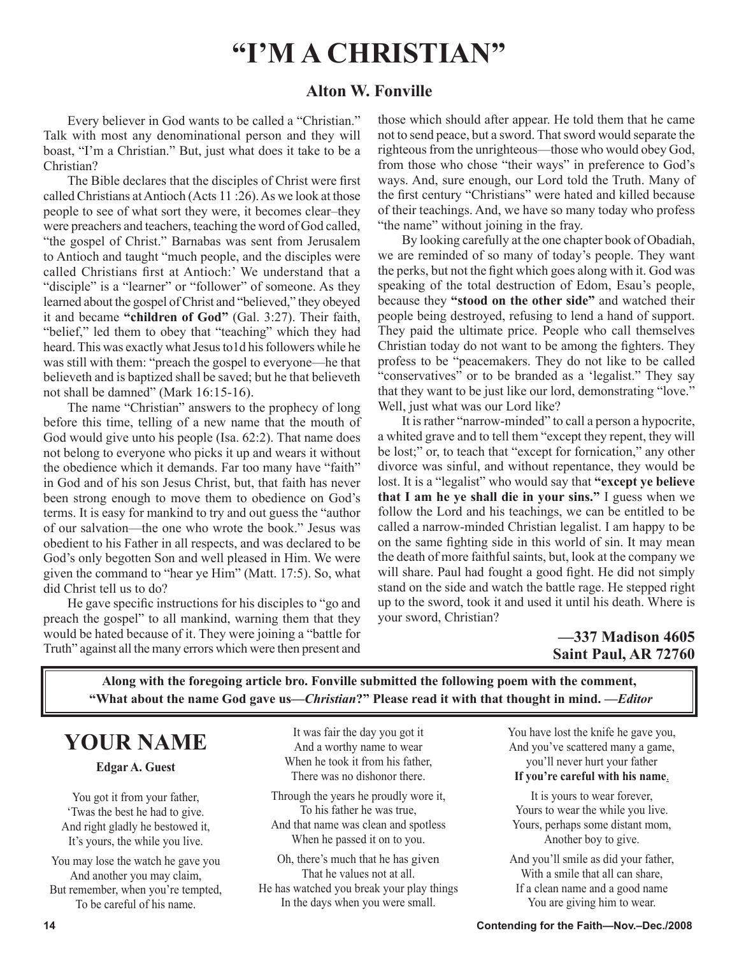# **"I'M A CHRISTIAN"**

# **Alton W. Fonville**

Every believer in God wants to be called a "Christian." Talk with most any denominational person and they will boast, "I'm a Christian." But, just what does it take to be a Christian?

The Bible declares that the disciples of Christ were first called Christians at Antioch (Acts 11 :26). As we look at those people to see of what sort they were, it becomes clear–they were preachers and teachers, teaching the word of God called, "the gospel of Christ." Barnabas was sent from Jerusalem to Antioch and taught "much people, and the disciples were called Christians first at Antioch:' We understand that a "disciple" is a "learner" or "follower" of someone. As they learned about the gospel of Christ and "believed," they obeyed it and became **"children of God"** (Gal. 3:27). Their faith, "belief," led them to obey that "teaching" which they had heard. This was exactly what Jesus to1d his followers while he was still with them: "preach the gospel to everyone—he that believeth and is baptized shall be saved; but he that believeth not shall be damned" (Mark 16:15-16).

The name "Christian" answers to the prophecy of long before this time, telling of a new name that the mouth of God would give unto his people (Isa. 62:2). That name does not belong to everyone who picks it up and wears it without the obedience which it demands. Far too many have "faith" in God and of his son Jesus Christ, but, that faith has never been strong enough to move them to obedience on God's terms. It is easy for mankind to try and out guess the "author of our salvation—the one who wrote the book." Jesus was obedient to his Father in all respects, and was declared to be God's only begotten Son and well pleased in Him. We were given the command to "hear ye Him" (Matt. 17:5). So, what did Christ tell us to do?

He gave specific instructions for his disciples to "go and preach the gospel" to all mankind, warning them that they would be hated because of it. They were joining a "battle for Truth" against all the many errors which were then present and those which should after appear. He told them that he came not to send peace, but a sword. That sword would separate the righteous from the unrighteous—those who would obey God, from those who chose "their ways" in preference to God's ways. And, sure enough, our Lord told the Truth. Many of the first century "Christians" were hated and killed because of their teachings. And, we have so many today who profess "the name" without joining in the fray.

By looking carefully at the one chapter book of Obadiah, we are reminded of so many of today's people. They want the perks, but not the fight which goes along with it. God was speaking of the total destruction of Edom, Esau's people, because they **"stood on the other side"** and watched their people being destroyed, refusing to lend a hand of support. They paid the ultimate price. People who call themselves Christian today do not want to be among the fighters. They profess to be "peacemakers. They do not like to be called "conservatives" or to be branded as a 'legalist." They say that they want to be just like our lord, demonstrating "love." Well, just what was our Lord like?

It is rather "narrow-minded" to call a person a hypocrite, a whited grave and to tell them "except they repent, they will be lost;" or, to teach that "except for fornication," any other divorce was sinful, and without repentance, they would be lost. It is a "legalist" who would say that **"except ye believe that I am he ye shall die in your sins."** I guess when we follow the Lord and his teachings, we can be entitled to be called a narrow-minded Christian legalist. I am happy to be on the same fighting side in this world of sin. It may mean the death of more faithful saints, but, look at the company we will share. Paul had fought a good fight. He did not simply stand on the side and watch the battle rage. He stepped right up to the sword, took it and used it until his death. Where is your sword, Christian?

# **—337 Madison 4605 Saint Paul, AR 72760**

**Along with the foregoing article bro. Fonville submitted the following poem with the comment, "What about the name God gave us—***Christian***?" Please read it with that thought in mind. —***Editor*

# **YOUR NAME**

### **Edgar A. Guest**

You got it from your father, 'Twas the best he had to give. And right gladly he bestowed it, It's yours, the while you live.

You may lose the watch he gave you And another you may claim, But remember, when you're tempted, To be careful of his name.

It was fair the day you got it And a worthy name to wear When he took it from his father, There was no dishonor there.

Through the years he proudly wore it, To his father he was true, And that name was clean and spotless When he passed it on to you.

Oh, there's much that he has given That he values not at all.

He has watched you break your play things In the days when you were small.

You have lost the knife he gave you, And you've scattered many a game, you'll never hurt your father **If you're careful with his name**.

It is yours to wear forever, Yours to wear the while you live. Yours, perhaps some distant mom, Another boy to give.

And you'll smile as did your father, With a smile that all can share, If a clean name and a good name You are giving him to wear.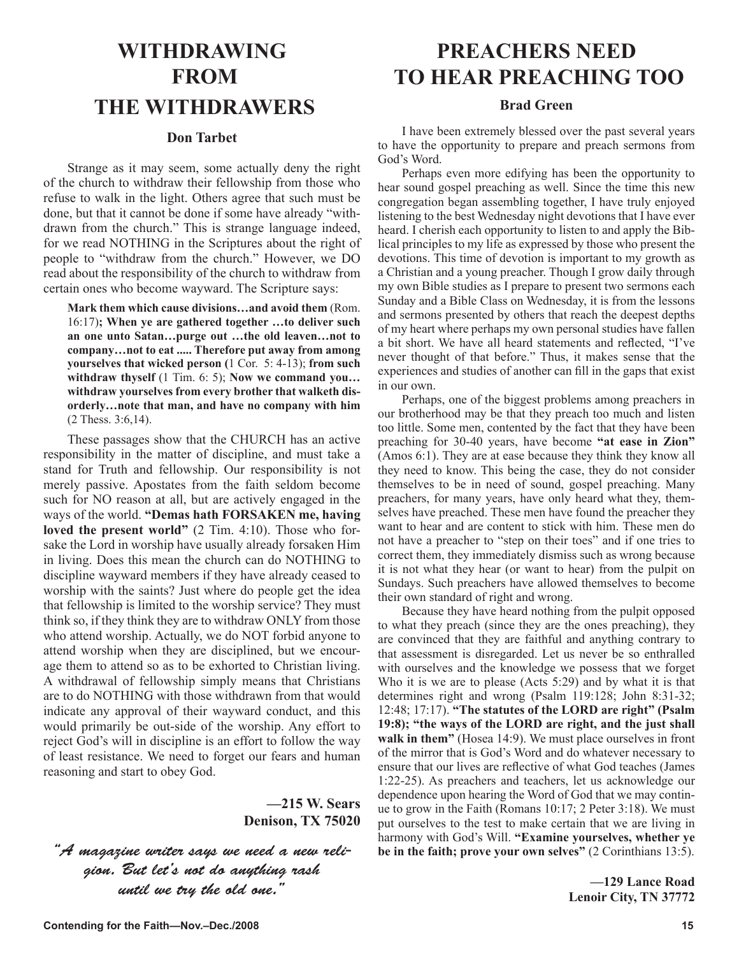# **WITHDRAWING FROM THE WITHDRAWERS**

## **Don Tarbet**

Strange as it may seem, some actually deny the right of the church to withdraw their fellowship from those who refuse to walk in the light. Others agree that such must be done, but that it cannot be done if some have already "withdrawn from the church." This is strange language indeed, for we read NOTHING in the Scriptures about the right of people to "withdraw from the church." However, we DO read about the responsibility of the church to withdraw from certain ones who become wayward. The Scripture says:

**Mark them which cause divisions…and avoid them** (Rom. 16:17)**; When ye are gathered together …to deliver such an one unto Satan…purge out …the old leaven…not to company…not to eat ..... Therefore put away from among yourselves that wicked person (**1 Cor. 5: 4-13); **from such withdraw thyself** (1 Tim. 6: 5); **Now we command you… withdraw yourselves from every brother that walketh disorderly…note that man, and have no company with him** (2 Thess. 3:6,14).

These passages show that the CHURCH has an active responsibility in the matter of discipline, and must take a stand for Truth and fellowship. Our responsibility is not merely passive. Apostates from the faith seldom become such for NO reason at all, but are actively engaged in the ways of the world. **"Demas hath FORSAKEN me, having loved the present world"** (2 Tim. 4:10). Those who forsake the Lord in worship have usually already forsaken Him in living. Does this mean the church can do NOTHING to discipline wayward members if they have already ceased to worship with the saints? Just where do people get the idea that fellowship is limited to the worship service? They must think so, if they think they are to withdraw ONLY from those who attend worship. Actually, we do NOT forbid anyone to attend worship when they are disciplined, but we encourage them to attend so as to be exhorted to Christian living. A withdrawal of fellowship simply means that Christians are to do NOTHING with those withdrawn from that would indicate any approval of their wayward conduct, and this would primarily be out-side of the worship. Any effort to reject God's will in discipline is an effort to follow the way of least resistance. We need to forget our fears and human reasoning and start to obey God.

# **—215 W. Sears Denison, TX 75020**

"A magazine writer says we need a new religion. But let's not do anything rash until we try the old one."

# **PREACHERS NEED TO HEAR PREACHING TOO**

## **Brad Green**

I have been extremely blessed over the past several years to have the opportunity to prepare and preach sermons from God's Word.

Perhaps even more edifying has been the opportunity to hear sound gospel preaching as well. Since the time this new congregation began assembling together, I have truly enjoyed listening to the best Wednesday night devotions that I have ever heard. I cherish each opportunity to listen to and apply the Biblical principles to my life as expressed by those who present the devotions. This time of devotion is important to my growth as a Christian and a young preacher. Though I grow daily through my own Bible studies as I prepare to present two sermons each Sunday and a Bible Class on Wednesday, it is from the lessons and sermons presented by others that reach the deepest depths of my heart where perhaps my own personal studies have fallen a bit short. We have all heard statements and reflected, "I've never thought of that before." Thus, it makes sense that the experiences and studies of another can fill in the gaps that exist in our own.

Perhaps, one of the biggest problems among preachers in our brotherhood may be that they preach too much and listen too little. Some men, contented by the fact that they have been preaching for 30-40 years, have become **"at ease in Zion"** (Amos 6:1). They are at ease because they think they know all they need to know. This being the case, they do not consider themselves to be in need of sound, gospel preaching. Many preachers, for many years, have only heard what they, themselves have preached. These men have found the preacher they want to hear and are content to stick with him. These men do not have a preacher to "step on their toes" and if one tries to correct them, they immediately dismiss such as wrong because it is not what they hear (or want to hear) from the pulpit on Sundays. Such preachers have allowed themselves to become their own standard of right and wrong.

Because they have heard nothing from the pulpit opposed to what they preach (since they are the ones preaching), they are convinced that they are faithful and anything contrary to that assessment is disregarded. Let us never be so enthralled with ourselves and the knowledge we possess that we forget Who it is we are to please (Acts 5:29) and by what it is that determines right and wrong (Psalm 119:128; John 8:31-32; 12:48; 17:17). **"The statutes of the LORD are right" (Psalm 19:8); "the ways of the LORD are right, and the just shall walk in them"** (Hosea 14:9). We must place ourselves in front of the mirror that is God's Word and do whatever necessary to ensure that our lives are reflective of what God teaches (James 1:22-25). As preachers and teachers, let us acknowledge our dependence upon hearing the Word of God that we may continue to grow in the Faith (Romans 10:17; 2 Peter 3:18). We must put ourselves to the test to make certain that we are living in harmony with God's Will. **"Examine yourselves, whether ye be in the faith; prove your own selves"** (2 Corinthians 13:5).

> **—129 Lance Road Lenoir City, TN 37772**